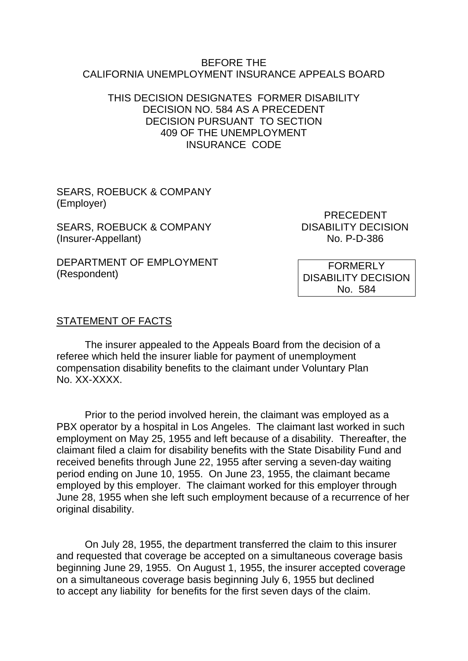#### BEFORE THE CALIFORNIA UNEMPLOYMENT INSURANCE APPEALS BOARD

### THIS DECISION DESIGNATES FORMER DISABILITY DECISION NO. 584 AS A PRECEDENT DECISION PURSUANT TO SECTION 409 OF THE UNEMPLOYMENT INSURANCE CODE

SEARS, ROEBUCK & COMPANY (Employer)

SEARS, ROEBUCK & COMPANY DISABILITY DECISION (Insurer-Appellant) No. P-D-386

PRECEDENT

DEPARTMENT OF EMPLOYMENT (Respondent)

FORMERLY DISABILITY DECISION No. 584

#### STATEMENT OF FACTS

The insurer appealed to the Appeals Board from the decision of a referee which held the insurer liable for payment of unemployment compensation disability benefits to the claimant under Voluntary Plan No. XX-XXXX.

Prior to the period involved herein, the claimant was employed as a PBX operator by a hospital in Los Angeles. The claimant last worked in such employment on May 25, 1955 and left because of a disability. Thereafter, the claimant filed a claim for disability benefits with the State Disability Fund and received benefits through June 22, 1955 after serving a seven-day waiting period ending on June 10, 1955. On June 23, 1955, the claimant became employed by this employer. The claimant worked for this employer through June 28, 1955 when she left such employment because of a recurrence of her original disability.

On July 28, 1955, the department transferred the claim to this insurer and requested that coverage be accepted on a simultaneous coverage basis beginning June 29, 1955. On August 1, 1955, the insurer accepted coverage on a simultaneous coverage basis beginning July 6, 1955 but declined to accept any liability for benefits for the first seven days of the claim.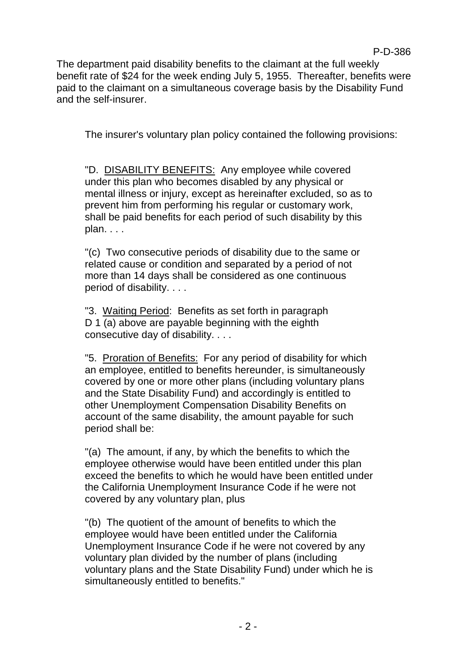The department paid disability benefits to the claimant at the full weekly benefit rate of \$24 for the week ending July 5, 1955. Thereafter, benefits were paid to the claimant on a simultaneous coverage basis by the Disability Fund and the self-insurer.

The insurer's voluntary plan policy contained the following provisions:

"D. DISABILITY BENEFITS: Any employee while covered under this plan who becomes disabled by any physical or mental illness or injury, except as hereinafter excluded, so as to prevent him from performing his regular or customary work, shall be paid benefits for each period of such disability by this plan. . . .

"(c) Two consecutive periods of disability due to the same or related cause or condition and separated by a period of not more than 14 days shall be considered as one continuous period of disability. . . .

"3. Waiting Period: Benefits as set forth in paragraph D 1 (a) above are payable beginning with the eighth consecutive day of disability. . . .

"5. Proration of Benefits: For any period of disability for which an employee, entitled to benefits hereunder, is simultaneously covered by one or more other plans (including voluntary plans and the State Disability Fund) and accordingly is entitled to other Unemployment Compensation Disability Benefits on account of the same disability, the amount payable for such period shall be:

"(a) The amount, if any, by which the benefits to which the employee otherwise would have been entitled under this plan exceed the benefits to which he would have been entitled under the California Unemployment Insurance Code if he were not covered by any voluntary plan, plus

"(b) The quotient of the amount of benefits to which the employee would have been entitled under the California Unemployment Insurance Code if he were not covered by any voluntary plan divided by the number of plans (including voluntary plans and the State Disability Fund) under which he is simultaneously entitled to benefits."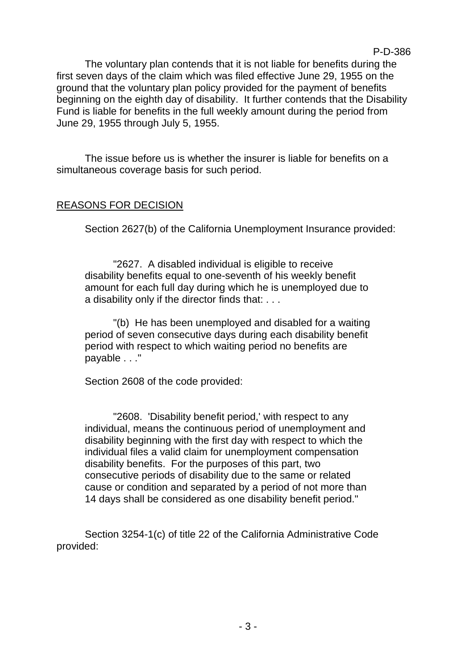The voluntary plan contends that it is not liable for benefits during the first seven days of the claim which was filed effective June 29, 1955 on the ground that the voluntary plan policy provided for the payment of benefits beginning on the eighth day of disability. It further contends that the Disability Fund is liable for benefits in the full weekly amount during the period from June 29, 1955 through July 5, 1955.

The issue before us is whether the insurer is liable for benefits on a simultaneous coverage basis for such period.

# REASONS FOR DECISION

Section 2627(b) of the California Unemployment Insurance provided:

"2627. A disabled individual is eligible to receive disability benefits equal to one-seventh of his weekly benefit amount for each full day during which he is unemployed due to a disability only if the director finds that: . . .

"(b) He has been unemployed and disabled for a waiting period of seven consecutive days during each disability benefit period with respect to which waiting period no benefits are payable . . ."

Section 2608 of the code provided:

"2608. 'Disability benefit period,' with respect to any individual, means the continuous period of unemployment and disability beginning with the first day with respect to which the individual files a valid claim for unemployment compensation disability benefits. For the purposes of this part, two consecutive periods of disability due to the same or related cause or condition and separated by a period of not more than 14 days shall be considered as one disability benefit period."

Section 3254-1(c) of title 22 of the California Administrative Code provided: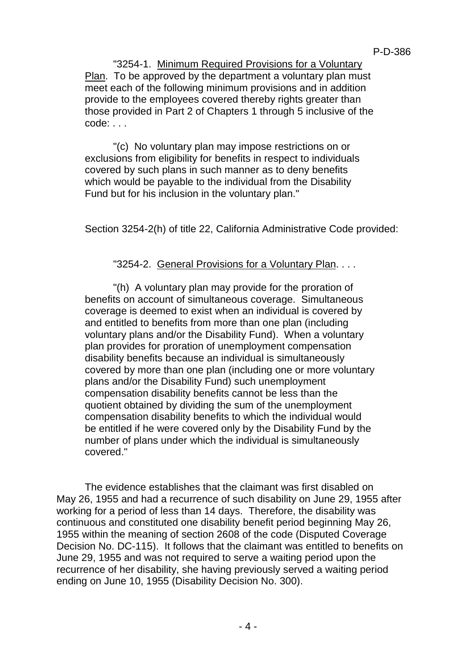"3254-1. Minimum Required Provisions for a Voluntary Plan. To be approved by the department a voluntary plan must meet each of the following minimum provisions and in addition provide to the employees covered thereby rights greater than those provided in Part 2 of Chapters 1 through 5 inclusive of the code: . . .

"(c) No voluntary plan may impose restrictions on or exclusions from eligibility for benefits in respect to individuals covered by such plans in such manner as to deny benefits which would be payable to the individual from the Disability Fund but for his inclusion in the voluntary plan."

Section 3254-2(h) of title 22, California Administrative Code provided:

"3254-2. General Provisions for a Voluntary Plan. . . .

"(h) A voluntary plan may provide for the proration of benefits on account of simultaneous coverage. Simultaneous coverage is deemed to exist when an individual is covered by and entitled to benefits from more than one plan (including voluntary plans and/or the Disability Fund). When a voluntary plan provides for proration of unemployment compensation disability benefits because an individual is simultaneously covered by more than one plan (including one or more voluntary plans and/or the Disability Fund) such unemployment compensation disability benefits cannot be less than the quotient obtained by dividing the sum of the unemployment compensation disability benefits to which the individual would be entitled if he were covered only by the Disability Fund by the number of plans under which the individual is simultaneously covered."

The evidence establishes that the claimant was first disabled on May 26, 1955 and had a recurrence of such disability on June 29, 1955 after working for a period of less than 14 days. Therefore, the disability was continuous and constituted one disability benefit period beginning May 26, 1955 within the meaning of section 2608 of the code (Disputed Coverage Decision No. DC-115). It follows that the claimant was entitled to benefits on June 29, 1955 and was not required to serve a waiting period upon the recurrence of her disability, she having previously served a waiting period ending on June 10, 1955 (Disability Decision No. 300).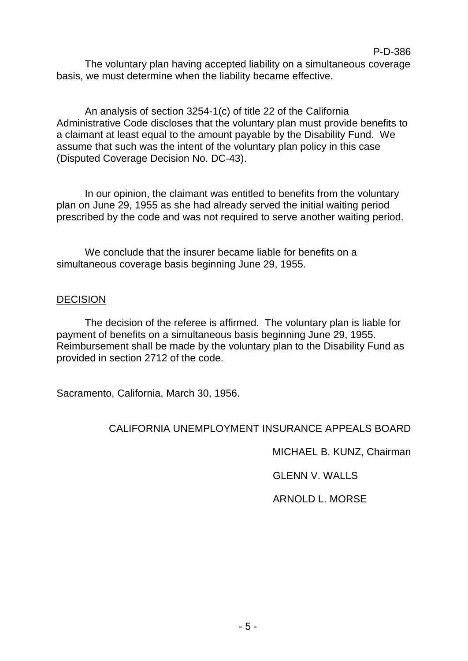The voluntary plan having accepted liability on a simultaneous coverage basis, we must determine when the liability became effective.

An analysis of section 3254-1(c) of title 22 of the California Administrative Code discloses that the voluntary plan must provide benefits to a claimant at least equal to the amount payable by the Disability Fund. We assume that such was the intent of the voluntary plan policy in this case (Disputed Coverage Decision No. DC-43).

In our opinion, the claimant was entitled to benefits from the voluntary plan on June 29, 1955 as she had already served the initial waiting period prescribed by the code and was not required to serve another waiting period.

We conclude that the insurer became liable for benefits on a simultaneous coverage basis beginning June 29, 1955.

### **DECISION**

The decision of the referee is affirmed. The voluntary plan is liable for payment of benefits on a simultaneous basis beginning June 29, 1955. Reimbursement shall be made by the voluntary plan to the Disability Fund as provided in section 2712 of the code.

Sacramento, California, March 30, 1956.

# CALIFORNIA UNEMPLOYMENT INSURANCE APPEALS BOARD

MICHAEL B. KUNZ, Chairman

GLENN V. WALLS

ARNOLD L. MORSE